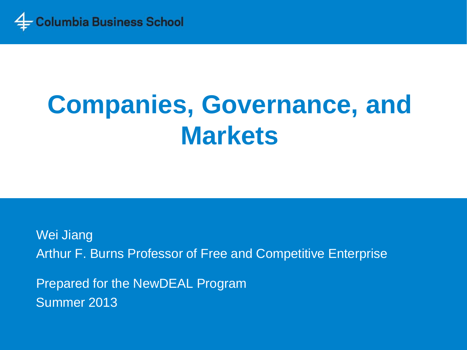

# **Companies, Governance, and Markets**

Wei Jiang Arthur F. Burns Professor of Free and Competitive Enterprise Prepared for the NewDEAL Program Summer 2013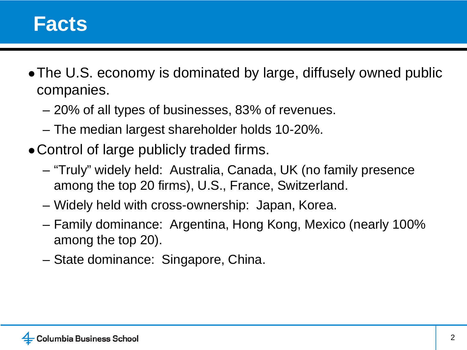- The U.S. economy is dominated by large, diffusely owned public companies.
	- 20% of all types of businesses, 83% of revenues.
	- The median largest shareholder holds 10-20%.
- Control of large publicly traded firms.
	- "Truly" widely held: Australia, Canada, UK (no family presence among the top 20 firms), U.S., France, Switzerland.
	- Widely held with cross-ownership: Japan, Korea.
	- Family dominance: Argentina, Hong Kong, Mexico (nearly 100% among the top 20).
	- State dominance: Singapore, China.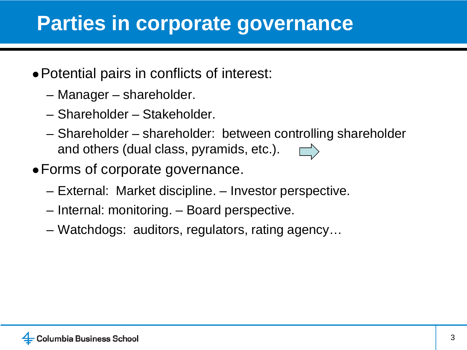#### **Parties in corporate governance**

- ●Potential pairs in conflicts of interest:
	- Manager shareholder.
	- Shareholder Stakeholder.
	- Shareholder shareholder: between controlling shareholder and others (dual class, pyramids, etc.).
- ●Forms of corporate governance.
	- External: Market discipline. Investor perspective.
	- Internal: monitoring. Board perspective.
	- Watchdogs: auditors, regulators, rating agency…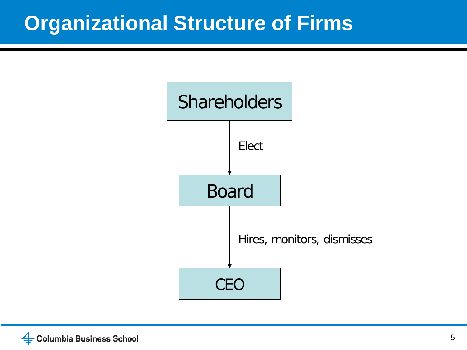#### **Organizational Structure of Firms**

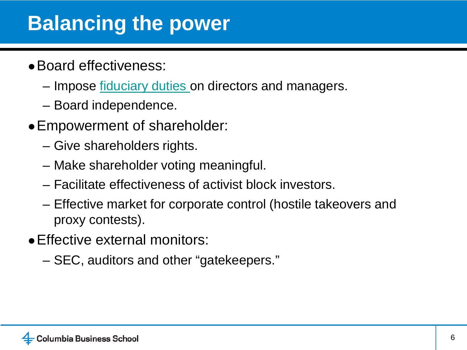#### **Balancing the power**

- ●Board effectiveness:
	- Impose <u>fiduciary duties</u> on directors and managers.
	- Board independence.
- ●Empowerment of shareholder:
	- Give shareholders rights.
	- Make shareholder voting meaningful.
	- Facilitate effectiveness of activist block investors.
	- Effective market for corporate control (hostile takeovers and proxy contests).
- Effective external monitors:
	- SEC, auditors and other "gatekeepers."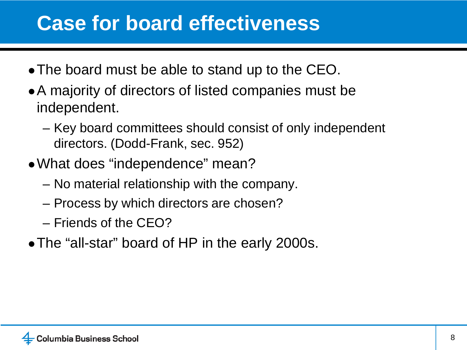#### **Case for board effectiveness**

- The board must be able to stand up to the CEO.
- A majority of directors of listed companies must be independent.
	- Key board committees should consist of only independent directors. (Dodd-Frank, sec. 952)
- What does "independence" mean?
	- No material relationship with the company.
	- Process by which directors are chosen?
	- Friends of the CEO?
- The "all-star" board of HP in the early 2000s.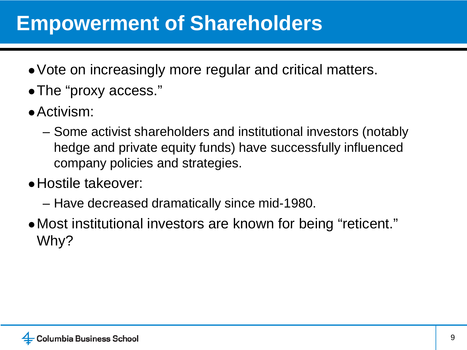#### **Empowerment of Shareholders**

- ●Vote on increasingly more regular and critical matters.
- ●The "proxy access."
- Activism:
	- Some activist shareholders and institutional investors (notably hedge and private equity funds) have successfully influenced company policies and strategies.
- ●Hostile takeover:
	- Have decreased dramatically since mid-1980.
- Most institutional investors are known for being "reticent." Why?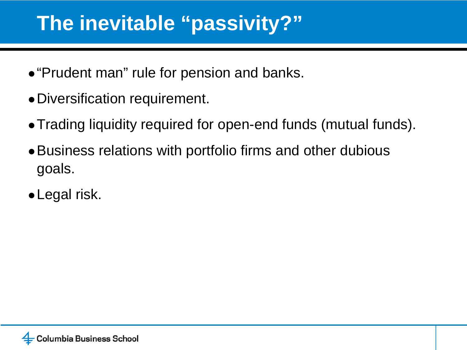#### **The inevitable "passivity?"**

- ●"Prudent man" rule for pension and banks.
- ●Diversification requirement.
- Trading liquidity required for open-end funds (mutual funds).
- Business relations with portfolio firms and other dubious goals.
- ●Legal risk.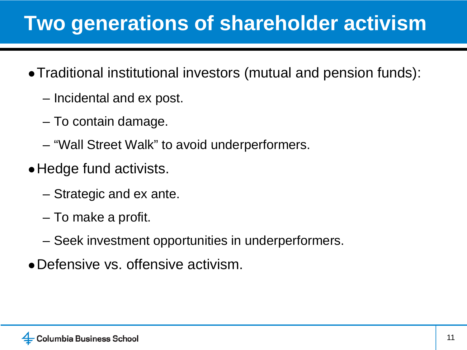# **Two generations of shareholder activism**

- ●Traditional institutional investors (mutual and pension funds):
	- Incidental and ex post.
	- To contain damage.
	- "Wall Street Walk" to avoid underperformers.
- Hedge fund activists.
	- Strategic and ex ante.
	- To make a profit.
	- Seek investment opportunities in underperformers.
- Defensive vs. offensive activism.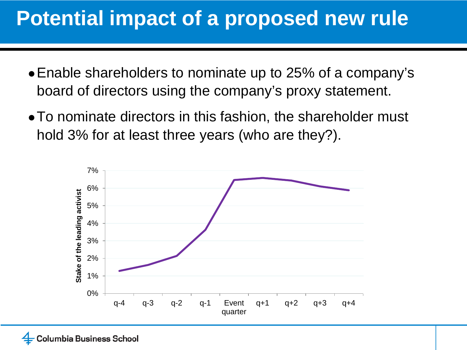## **Potential impact of a proposed new rule**

- ●Enable shareholders to nominate up to 25% of a company's board of directors using the company's proxy statement.
- To nominate directors in this fashion, the shareholder must hold 3% for at least three years (who are they?).

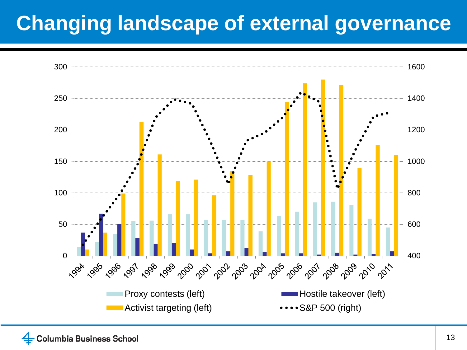# **Changing landscape of external governance**

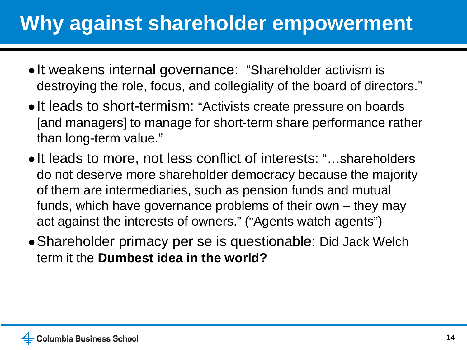# **Why against shareholder empowerment**

- It weakens internal governance: "Shareholder activism is destroying the role, focus, and collegiality of the board of directors."
- ●It leads to short-termism: "Activists create pressure on boards [and managers] to manage for short-term share performance rather than long-term value."
- ●It leads to more, not less conflict of interests: "…shareholders do not deserve more shareholder democracy because the majority of them are intermediaries, such as pension funds and mutual funds, which have governance problems of their own – they may act against the interests of owners." ("Agents watch agents")
- Shareholder primacy per se is questionable: Did Jack Welch term it the **Dumbest idea in the world?**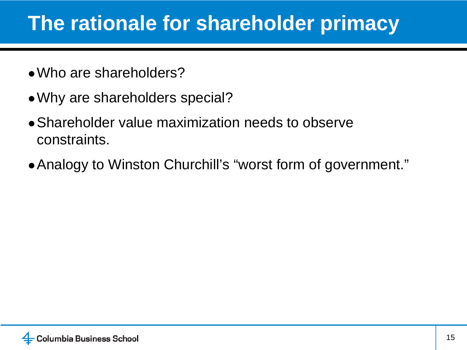#### **The rationale for shareholder primacy**

- Who are shareholders?
- ●Why are shareholders special?
- Shareholder value maximization needs to observe constraints.
- Analogy to Winston Churchill's "worst form of government."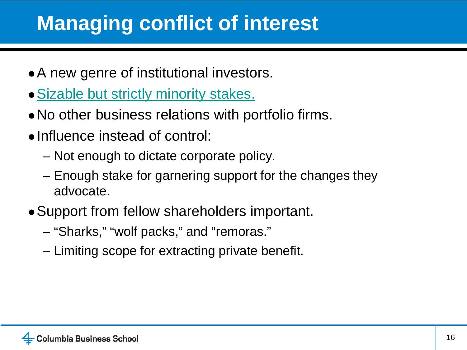# **Managing conflict of interest**

- A new genre of institutional investors.
- Sizable but strictly minority stakes.
- No other business relations with portfolio firms.
- ●Influence instead of control:
	- Not enough to dictate corporate policy.
	- Enough stake for garnering support for the changes they advocate.
- Support from fellow shareholders important.
	- "Sharks," "wolf packs," and "remoras."
	- Limiting scope for extracting private benefit.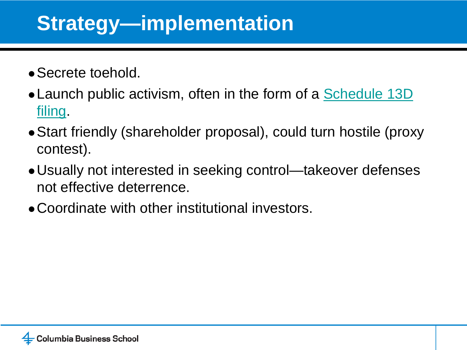## **Strategy—implementation**

- Secrete toehold.
- Launch public activism, often in the form of a Schedule 13D filing.
- Start friendly (shareholder proposal), could turn hostile (proxy contest).
- Usually not interested in seeking control—takeover defenses not effective deterrence.
- ●Coordinate with other institutional investors.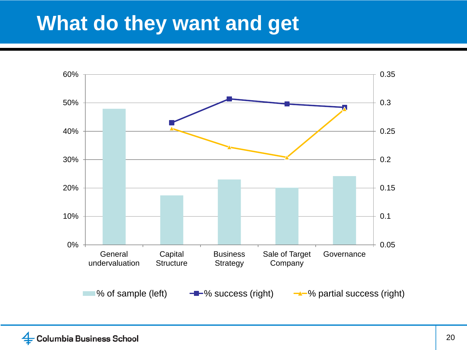#### **What do they want and get**

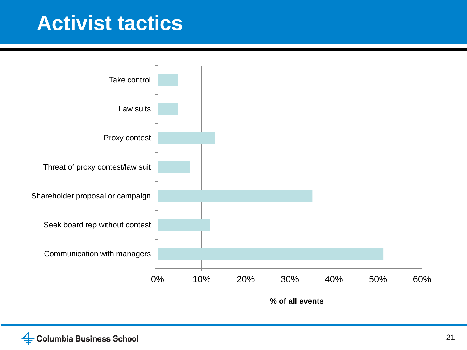#### **Activist tactics**



**% of all events**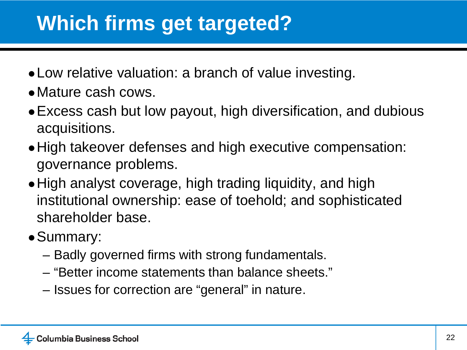# **Which firms get targeted?**

- Low relative valuation: a branch of value investing.
- ●Mature cash cows.
- Excess cash but low payout, high diversification, and dubious acquisitions.
- High takeover defenses and high executive compensation: governance problems.
- High analyst coverage, high trading liquidity, and high institutional ownership: ease of toehold; and sophisticated shareholder base.
- ●Summary:
	- Badly governed firms with strong fundamentals.
	- "Better income statements than balance sheets."
	- Issues for correction are "general" in nature.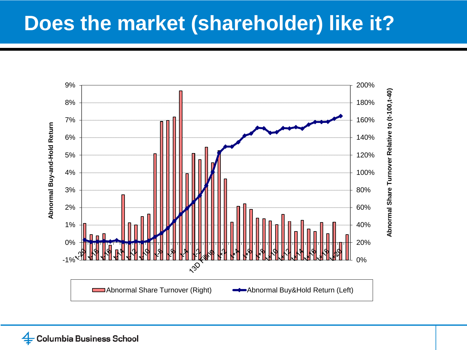#### **Does the market (shareholder) like it?**

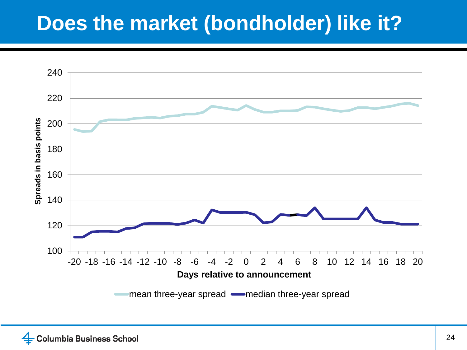## **Does the market (bondholder) like it?**

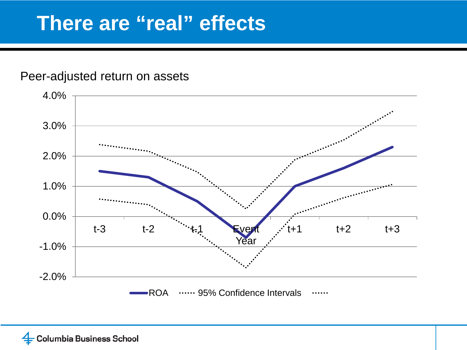#### **There are "real" effects**

#### Peer-adjusted return on assets

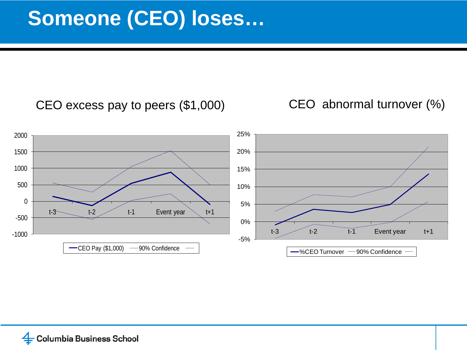CEO excess pay to peers (\$1,000) CEO abnormal turnover (%)

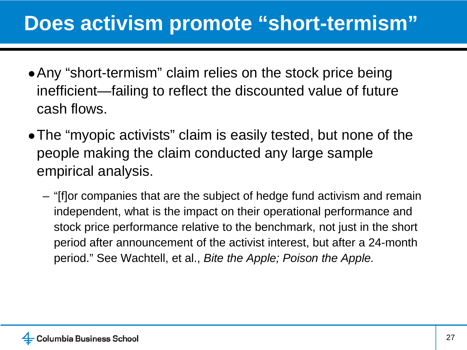#### **Does activism promote "short-termism"**

- Any "short-termism" claim relies on the stock price being inefficient—failing to reflect the discounted value of future cash flows.
- The "myopic activists" claim is easily tested, but none of the people making the claim conducted any large sample empirical analysis.
	- "[f]or companies that are the subject of hedge fund activism and remain independent, what is the impact on their operational performance and stock price performance relative to the benchmark, not just in the short period after announcement of the activist interest, but after a 24-month period." See Wachtell, et al., *Bite the Apple; Poison the Apple.*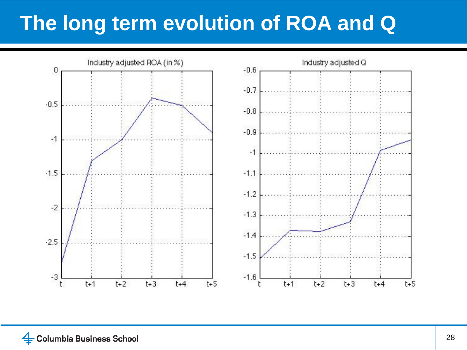## **The long term evolution of ROA and Q**

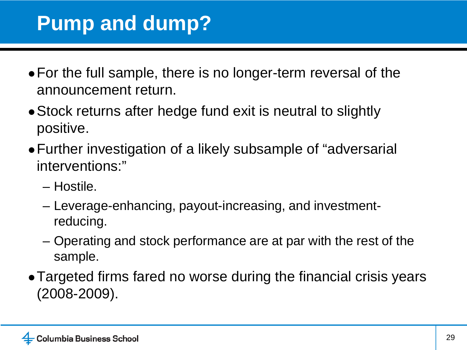## **Pump and dump?**

- For the full sample, there is no longer-term reversal of the announcement return.
- Stock returns after hedge fund exit is neutral to slightly positive.
- Further investigation of a likely subsample of "adversarial interventions:"
	- Hostile.
	- Leverage-enhancing, payout-increasing, and investmentreducing.
	- Operating and stock performance are at par with the rest of the sample.
- Targeted firms fared no worse during the financial crisis years (2008-2009).